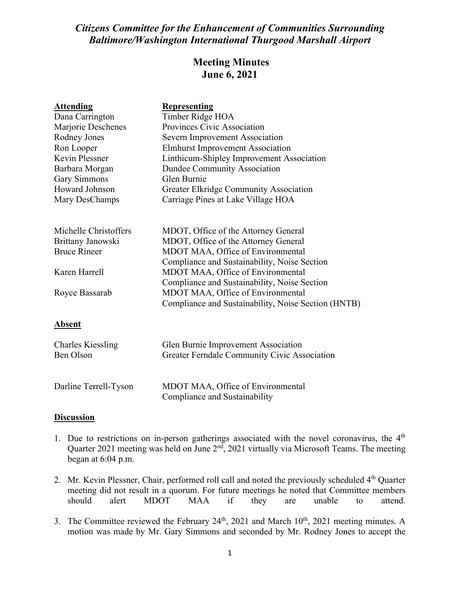# *Citizens Committee for the Enhancement of Communities Surrounding Baltimore/Washington International Thurgood Marshall Airport*

# **Meeting Minutes June 6, 2021**

| <b>Attending</b><br>Dana Carrington<br>Marjorie Deschenes<br>Rodney Jones<br>Ron Looper<br>Kevin Plessner<br>Barbara Morgan<br><b>Gary Simmons</b><br>Howard Johnson<br>Mary DesChamps | <b>Representing</b><br>Timber Ridge HOA<br>Provinces Civic Association<br>Severn Improvement Association<br><b>Elmhurst Improvement Association</b><br>Linthicum-Shipley Improvement Association<br>Dundee Community Association<br>Glen Burnie<br><b>Greater Elkridge Community Association</b><br>Carriage Pines at Lake Village HOA             |
|----------------------------------------------------------------------------------------------------------------------------------------------------------------------------------------|----------------------------------------------------------------------------------------------------------------------------------------------------------------------------------------------------------------------------------------------------------------------------------------------------------------------------------------------------|
| Michelle Christoffers<br>Brittany Janowski<br><b>Bruce Rineer</b><br>Karen Harrell<br>Royce Bassarab                                                                                   | MDOT, Office of the Attorney General<br>MDOT, Office of the Attorney General<br>MDOT MAA, Office of Environmental<br>Compliance and Sustainability, Noise Section<br>MDOT MAA, Office of Environmental<br>Compliance and Sustainability, Noise Section<br>MDOT MAA, Office of Environmental<br>Compliance and Sustainability, Noise Section (HNTB) |
| <b>Absent</b>                                                                                                                                                                          |                                                                                                                                                                                                                                                                                                                                                    |
| <b>Charles Kiessling</b><br>Ben Olson                                                                                                                                                  | Glen Burnie Improvement Association<br>Greater Ferndale Community Civic Association                                                                                                                                                                                                                                                                |
| Darline Terrell-Tyson                                                                                                                                                                  | MDOT MAA, Office of Environmental<br>Compliance and Sustainability                                                                                                                                                                                                                                                                                 |

## **Discussion**

- 1. Due to restrictions on in-person gatherings associated with the novel coronavirus, the  $4<sup>th</sup>$ Quarter 2021 meeting was held on June 2<sup>nd</sup>, 2021 virtually via Microsoft Teams. The meeting began at 6:04 p.m.
- 2. Mr. Kevin Plessner, Chair, performed roll call and noted the previously scheduled 4<sup>th</sup> Quarter meeting did not result in a quorum. For future meetings he noted that Committee members should alert MDOT MAA if they are unable to attend.
- 3. The Committee reviewed the February  $24<sup>th</sup>$ ,  $2021$  and March  $10<sup>th</sup>$ ,  $2021$  meeting minutes. A motion was made by Mr. Gary Simmons and seconded by Mr. Rodney Jones to accept the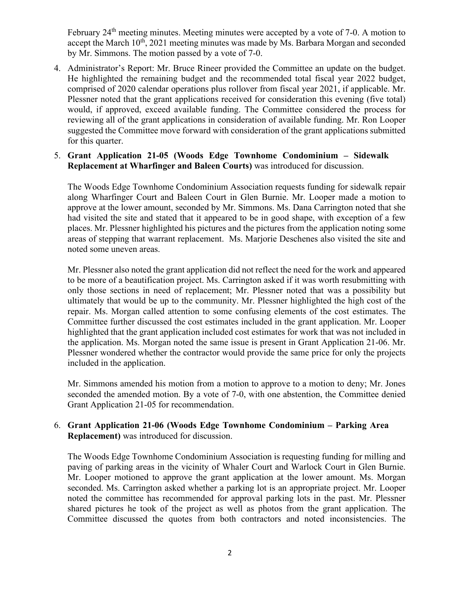February 24<sup>th</sup> meeting minutes. Meeting minutes were accepted by a vote of 7-0. A motion to accept the March  $10^{th}$ , 2021 meeting minutes was made by Ms. Barbara Morgan and seconded by Mr. Simmons. The motion passed by a vote of 7-0.

4. Administrator's Report: Mr. Bruce Rineer provided the Committee an update on the budget. He highlighted the remaining budget and the recommended total fiscal year 2022 budget, comprised of 2020 calendar operations plus rollover from fiscal year 2021, if applicable. Mr. Plessner noted that the grant applications received for consideration this evening (five total) would, if approved, exceed available funding. The Committee considered the process for reviewing all of the grant applications in consideration of available funding. Mr. Ron Looper suggested the Committee move forward with consideration of the grant applications submitted for this quarter.

#### 5. **Grant Application 21-05 (Woods Edge Townhome Condominium – Sidewalk Replacement at Wharfinger and Baleen Courts)** was introduced for discussion.

The Woods Edge Townhome Condominium Association requests funding for sidewalk repair along Wharfinger Court and Baleen Court in Glen Burnie. Mr. Looper made a motion to approve at the lower amount, seconded by Mr. Simmons. Ms. Dana Carrington noted that she had visited the site and stated that it appeared to be in good shape, with exception of a few places. Mr. Plessner highlighted his pictures and the pictures from the application noting some areas of stepping that warrant replacement. Ms. Marjorie Deschenes also visited the site and noted some uneven areas.

Mr. Plessner also noted the grant application did not reflect the need for the work and appeared to be more of a beautification project. Ms. Carrington asked if it was worth resubmitting with only those sections in need of replacement; Mr. Plessner noted that was a possibility but ultimately that would be up to the community. Mr. Plessner highlighted the high cost of the repair. Ms. Morgan called attention to some confusing elements of the cost estimates. The Committee further discussed the cost estimates included in the grant application. Mr. Looper highlighted that the grant application included cost estimates for work that was not included in the application. Ms. Morgan noted the same issue is present in Grant Application 21-06. Mr. Plessner wondered whether the contractor would provide the same price for only the projects included in the application.

Mr. Simmons amended his motion from a motion to approve to a motion to deny; Mr. Jones seconded the amended motion. By a vote of 7-0, with one abstention, the Committee denied Grant Application 21-05 for recommendation.

#### 6. **Grant Application 21-06 (Woods Edge Townhome Condominium – Parking Area Replacement)** was introduced for discussion.

The Woods Edge Townhome Condominium Association is requesting funding for milling and paving of parking areas in the vicinity of Whaler Court and Warlock Court in Glen Burnie. Mr. Looper motioned to approve the grant application at the lower amount. Ms. Morgan seconded. Ms. Carrington asked whether a parking lot is an appropriate project. Mr. Looper noted the committee has recommended for approval parking lots in the past. Mr. Plessner shared pictures he took of the project as well as photos from the grant application. The Committee discussed the quotes from both contractors and noted inconsistencies. The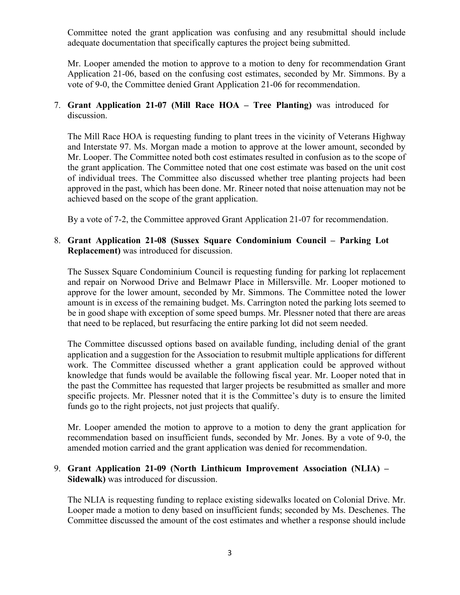Committee noted the grant application was confusing and any resubmittal should include adequate documentation that specifically captures the project being submitted.

Mr. Looper amended the motion to approve to a motion to deny for recommendation Grant Application 21-06, based on the confusing cost estimates, seconded by Mr. Simmons. By a vote of 9-0, the Committee denied Grant Application 21-06 for recommendation.

### 7. **Grant Application 21-07 (Mill Race HOA – Tree Planting)** was introduced for discussion.

The Mill Race HOA is requesting funding to plant trees in the vicinity of Veterans Highway and Interstate 97. Ms. Morgan made a motion to approve at the lower amount, seconded by Mr. Looper. The Committee noted both cost estimates resulted in confusion as to the scope of the grant application. The Committee noted that one cost estimate was based on the unit cost of individual trees. The Committee also discussed whether tree planting projects had been approved in the past, which has been done. Mr. Rineer noted that noise attenuation may not be achieved based on the scope of the grant application.

By a vote of 7-2, the Committee approved Grant Application 21-07 for recommendation.

### 8. **Grant Application 21-08 (Sussex Square Condominium Council – Parking Lot Replacement)** was introduced for discussion.

The Sussex Square Condominium Council is requesting funding for parking lot replacement and repair on Norwood Drive and Belmawr Place in Millersville. Mr. Looper motioned to approve for the lower amount, seconded by Mr. Simmons. The Committee noted the lower amount is in excess of the remaining budget. Ms. Carrington noted the parking lots seemed to be in good shape with exception of some speed bumps. Mr. Plessner noted that there are areas that need to be replaced, but resurfacing the entire parking lot did not seem needed.

The Committee discussed options based on available funding, including denial of the grant application and a suggestion for the Association to resubmit multiple applications for different work. The Committee discussed whether a grant application could be approved without knowledge that funds would be available the following fiscal year. Mr. Looper noted that in the past the Committee has requested that larger projects be resubmitted as smaller and more specific projects. Mr. Plessner noted that it is the Committee's duty is to ensure the limited funds go to the right projects, not just projects that qualify.

Mr. Looper amended the motion to approve to a motion to deny the grant application for recommendation based on insufficient funds, seconded by Mr. Jones. By a vote of 9-0, the amended motion carried and the grant application was denied for recommendation.

#### 9. **Grant Application 21-09 (North Linthicum Improvement Association (NLIA) – Sidewalk)** was introduced for discussion.

The NLIA is requesting funding to replace existing sidewalks located on Colonial Drive. Mr. Looper made a motion to deny based on insufficient funds; seconded by Ms. Deschenes. The Committee discussed the amount of the cost estimates and whether a response should include